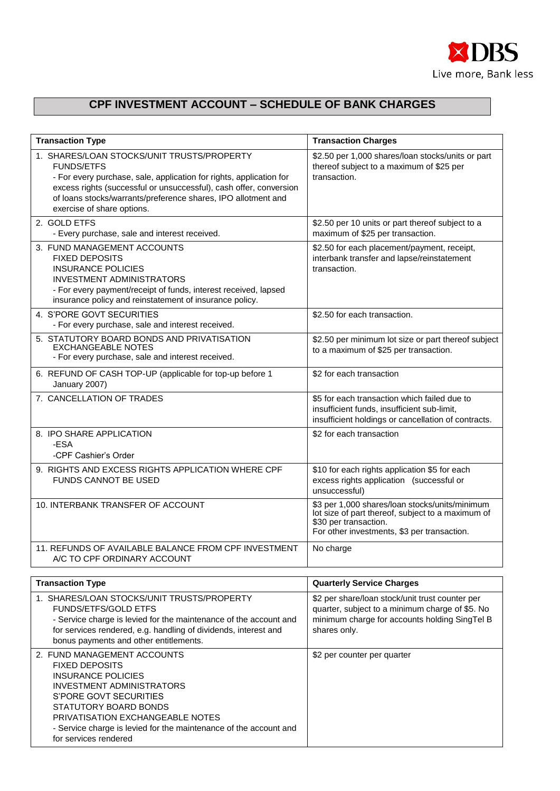

## **CPF INVESTMENT ACCOUNT – SCHEDULE OF BANK CHARGES**

| <b>Transaction Type</b>                                                                                                                                                                                                                                                                                     | <b>Transaction Charges</b>                                                                                                                                                  |
|-------------------------------------------------------------------------------------------------------------------------------------------------------------------------------------------------------------------------------------------------------------------------------------------------------------|-----------------------------------------------------------------------------------------------------------------------------------------------------------------------------|
| 1. SHARES/LOAN STOCKS/UNIT TRUSTS/PROPERTY<br><b>FUNDS/ETFS</b><br>- For every purchase, sale, application for rights, application for<br>excess rights (successful or unsuccessful), cash offer, conversion<br>of loans stocks/warrants/preference shares, IPO allotment and<br>exercise of share options. | \$2.50 per 1,000 shares/loan stocks/units or part<br>thereof subject to a maximum of \$25 per<br>transaction.                                                               |
| 2. GOLD ETFS<br>- Every purchase, sale and interest received.                                                                                                                                                                                                                                               | \$2.50 per 10 units or part thereof subject to a<br>maximum of \$25 per transaction.                                                                                        |
| 3. FUND MANAGEMENT ACCOUNTS<br><b>FIXED DEPOSITS</b><br><b>INSURANCE POLICIES</b><br><b>INVESTMENT ADMINISTRATORS</b><br>- For every payment/receipt of funds, interest received, lapsed<br>insurance policy and reinstatement of insurance policy.                                                         | \$2.50 for each placement/payment, receipt,<br>interbank transfer and lapse/reinstatement<br>transaction.                                                                   |
| 4. S'PORE GOVT SECURITIES<br>- For every purchase, sale and interest received.                                                                                                                                                                                                                              | \$2.50 for each transaction.                                                                                                                                                |
| 5. STATUTORY BOARD BONDS AND PRIVATISATION<br><b>EXCHANGEABLE NOTES</b><br>- For every purchase, sale and interest received.                                                                                                                                                                                | \$2.50 per minimum lot size or part thereof subject<br>to a maximum of \$25 per transaction.                                                                                |
| 6. REFUND OF CASH TOP-UP (applicable for top-up before 1<br>January 2007)                                                                                                                                                                                                                                   | \$2 for each transaction                                                                                                                                                    |
| 7. CANCELLATION OF TRADES                                                                                                                                                                                                                                                                                   | \$5 for each transaction which failed due to<br>insufficient funds, insufficient sub-limit,<br>insufficient holdings or cancellation of contracts.                          |
| 8. IPO SHARE APPLICATION<br>-ESA<br>-CPF Cashier's Order                                                                                                                                                                                                                                                    | \$2 for each transaction                                                                                                                                                    |
| 9. RIGHTS AND EXCESS RIGHTS APPLICATION WHERE CPF<br>FUNDS CANNOT BE USED                                                                                                                                                                                                                                   | \$10 for each rights application \$5 for each<br>excess rights application (successful or<br>unsuccessful)                                                                  |
| 10. INTERBANK TRANSFER OF ACCOUNT                                                                                                                                                                                                                                                                           | \$3 per 1,000 shares/loan stocks/units/minimum<br>lot size of part thereof, subject to a maximum of<br>\$30 per transaction.<br>For other investments, \$3 per transaction. |
| 11. REFUNDS OF AVAILABLE BALANCE FROM CPF INVESTMENT<br>A/C TO CPF ORDINARY ACCOUNT                                                                                                                                                                                                                         | No charge                                                                                                                                                                   |
| <b>Transaction Type</b>                                                                                                                                                                                                                                                                                     | <b>Quarterly Service Charges</b>                                                                                                                                            |
| 1. SHARES/LOAN STOCKS/UNIT TRUSTS/PROPERTY<br>FUNDS/ETFS/GOLD ETFS<br>- Service charge is levied for the maintenance of the account and<br>for services rendered, e.g. handling of dividends, interest and<br>bonus payments and other entitlements.                                                        | \$2 per share/loan stock/unit trust counter per<br>quarter, subject to a minimum charge of \$5. No<br>minimum charge for accounts holding SingTel B<br>shares only.         |
| 2. FUND MANAGEMENT ACCOUNTS<br><b>FIXED DEPOSITS</b><br><b>INSURANCE POLICIES</b><br><b>INVESTMENT ADMINISTRATORS</b><br>S'PORE GOVT SECURITIES<br>STATUTORY BOARD BONDS<br>PRIVATISATION EXCHANGEABLE NOTES<br>- Service charge is levied for the maintenance of the account and<br>for services rendered  | \$2 per counter per quarter                                                                                                                                                 |